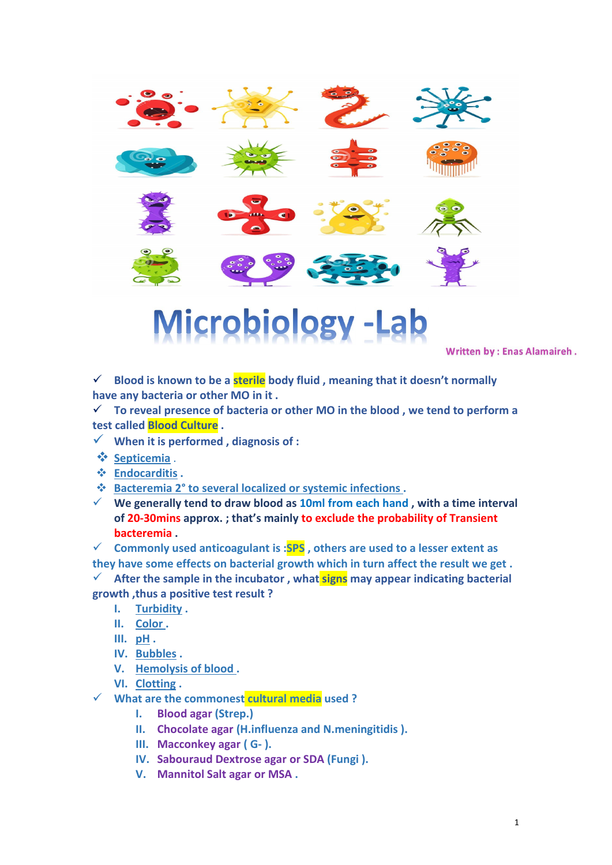









## Microbiology -Lab

**Written by: Enas Alamaireh.** 

 **Blood is known to be a sterile body fluid , meaning that it doesn't normally have any bacteria or other MO in it .**

 **To reveal presence of bacteria or other MO in the blood , we tend to perform a test called Blood Culture .**

- $\checkmark$  When it is performed, diagnosis of :
- **Septicemia** .
- **Endocarditis .**

**Bacteremia 2° to several localized or systemic infections .**

 **We generally tend to draw blood as 10ml from each hand , with a time interval of 20-30mins approx. ; that's mainly to exclude the probability of Transient bacteremia .**

 **Commonly used anticoagulant is :SPS , others are used to a lesserextent as they have some effects on bacterial growth which in turn affect the result we get .**

 $\checkmark$  After the sample in the incubator, what **signs** may appear indicating bacterial **growth ,thus a positive test result ?**

- **I. Turbidity .**
- **II. Color .**
- **III. pH .**
- **IV. Bubbles .**
- **V. Hemolysis of blood .**
- **VI. Clotting .**
- **What are the commonest cultural media used ?**
	- **I. Blood agar (Strep.)**
	- **II. Chocolate agar (H.influenza and N.meningitidis ).**
	- **III. Macconkey agar ( G- ).**
	- **IV. Sabouraud Dextrose agar or SDA (Fungi ).**
	- **V. Mannitol Salt agar or MSA .**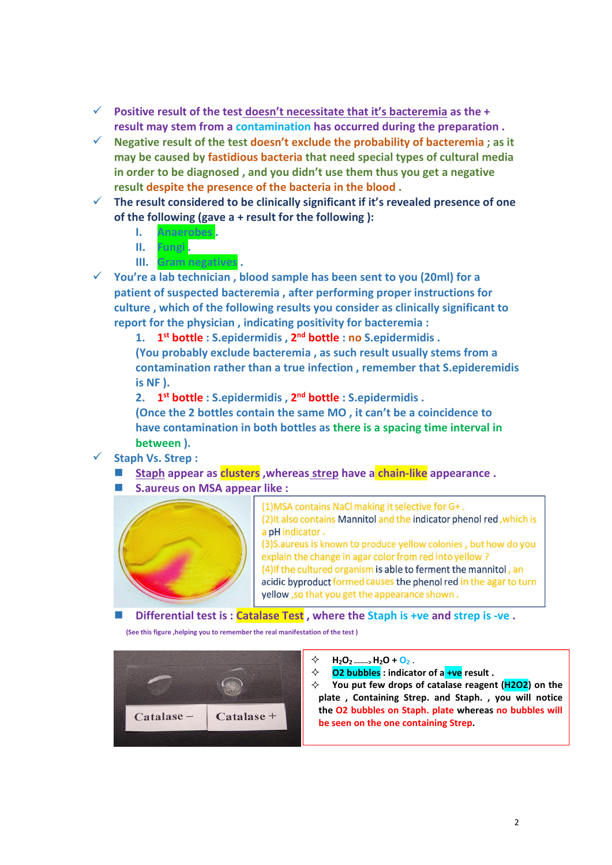- **Positive result of the test doesn't necessitate that it's bacteremia as the + result may stem from a contamination has occurred during the preparation .**
- **Negative result of the test doesn't exclude the probability of bacteremia ; as it may be caused by fastidious bacteria that need special types of cultural media in order to be diagnosed , and you didn't use them thus you get anegative result despite the presence of the bacteria in the blood .**
- **The result considered to be clinically significant if it's revealed presence of one of the following (gave a + result for the following ):**
	- **I. Anaerobes .**
	- **II. Fungi .**
	- **III. Gram negatives .**
- **You're a lab technician , blood sample has been sent to you (20ml) for a patient of suspected bacteremia , after performing proper instructions for culture , which of the following results you consider as clinically significant to report for the physician , indicating positivity for bacteremia :**
	- **1. 1 st bottle : S.epidermidis , 2 nd bottle : no S.epidermidis .**
	- **(You probably exclude bacteremia , as such result usually stems from a contamination rather than a true infection , remember that S.epideremidis is NF ).**
	- **2. 1 st bottle : S.epidermidis , 2 nd bottle : S.epidermidis .**
	- **(Once the 2 bottles contain the same MO , it can't be a coincidence to have contamination in both bottles as there is a spacing time interval in between ).**
- **Staph Vs. Strep :**
	- **Staph appear as clusters ,whereas strep have a chain-like appearance .**
	- **S.aureus on MSA appear like :**



(1) MSA contains NaCl making it selective for G+. (2) It also contains Mannitol and the indicator phenol red, which is a pH indicator. (3) S. aureus is known to produce yellow colonies, but how do you explain the change in agar color from red into yellow? (4) If the cultured organism is able to ferment the mannitol, an acidic byproduct formed causes the phenol red in the agar to turn yellow, so that you get the appearance shown.

**Differential testis :Catalase Test , where the Staph is +ve and strep is -ve .**

**(See this figure ,helping you to remember the real manifestation of the test )**



- $\diamondsuit$  **H**<sub>2</sub>**O**<sub>2</sub> ..., **H**<sub>2</sub>**O**+ **O**<sub>2</sub>.
- **O2 bubbles : indicator of a +ve result .**
- **You put few drops of catalase reagent (H2O2) on the plate , Containing Strep. and Staph. , you will notice the O2 bubbles on Staph. plate whereas no bubbles will be seen on the one containing Strep.**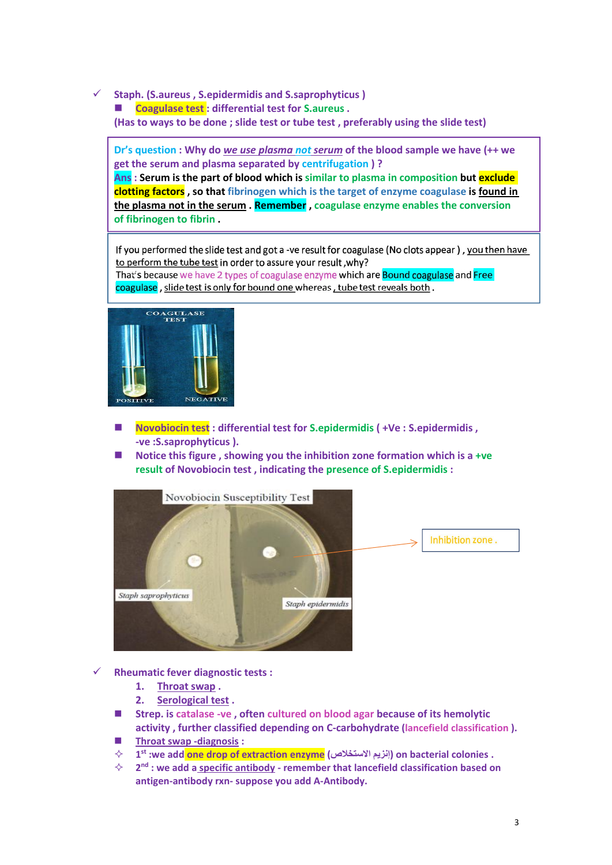**Staph. (S.aureus , S.epidermidis and S.saprophyticus )**

**Coagulase test : differential test for S.aureus .**

**(Has to ways to be done ; slide test or tube test , preferably using the slide test)**

**Dr's question : Why do** *we use plasma not serum* **of the blood sample we have (++ we get the serum and plasma separated by centrifugation ) ?**

**Ans : Serum is the part of blood which is similar to plasma in composition but exclude clotting factors , so that fibrinogen which is the target of enzyme coagulase is found in the plasma not in the serum . Remember , coagulase enzyme enables the conversion of fibrinogen to fibrin .**

If you performed the slide test and got a -ve result for coagulase (No clots appear), you then have to perform the tube test in order to assure your result, why? That's because we have 2 types of coagulase enzyme which are **Bound coagulase** and Free

coagulase, slide test is only for bound one whereas, tube test reveals both.



- **Novobiocin test : differential test for S.epidermidis ( +Ve : S.epidermidis , -ve :S.saprophyticus ).**
- **Notice this figure , showing you the inhibition zone formation which is a +ve result of Novobiocin test , indicating the presence of S.epidermidis :**



**Rheumatic fever diagnostic tests :**

- **1. Throat swap .**
- **2. Serological test .**
- **Strep. is catalase -ve , often cultured on blood agar because of its hemolytic activity , further classified depending on C-carbohydrate (lancefield classification ).**
- **Throat swap -diagnosis :**
- **1 st :we add one drop of extraction enzyme (⤠䲕㇐ˡ⡖ ϳΰ) on bacterial colonies .**
- **2 nd : we add aspecific antibody - remember that lancefield classification based on antigen-antibody rxn- suppose you add A-Antibody.**